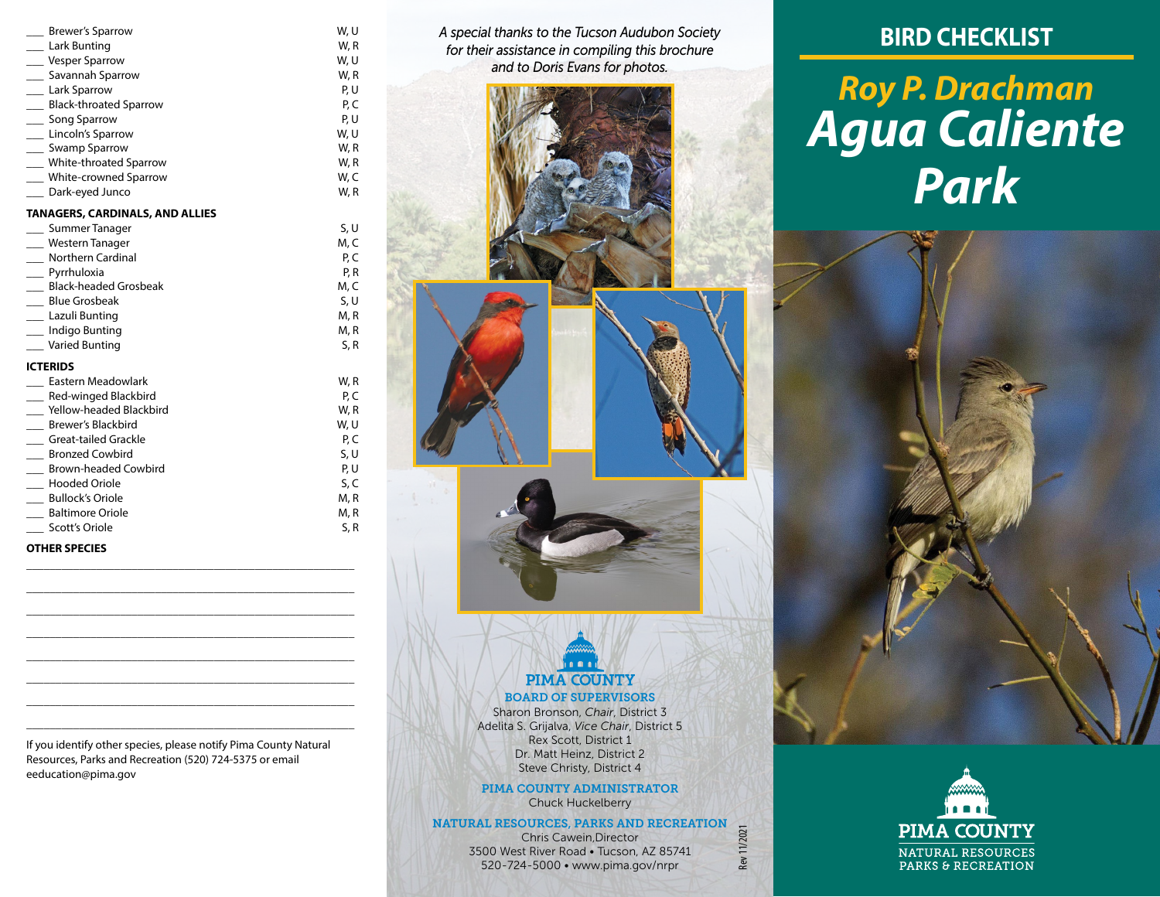| <b>Brewer's Sparrow</b>                | W, U |
|----------------------------------------|------|
| Lark Bunting                           | W, R |
| Vesper Sparrow                         | W, U |
| Savannah Sparrow                       | W, R |
| ___ Lark Sparrow                       | P, U |
| Black-throated Sparrow                 | P, C |
| Song Sparrow                           | P, U |
| Lincoln's Sparrow                      | W, U |
| ____ Swamp Sparrow                     | W, R |
| White-throated Sparrow                 | W, R |
| White-crowned Sparrow                  | W, C |
| Dark-eyed Junco                        | W, R |
| <b>TANAGERS, CARDINALS, AND ALLIES</b> |      |
| Summer Tanager                         | S, U |
| Western Tanager                        | M, C |
| Northern Cardinal                      | P, C |
| __ Pyrrhuloxia                         | P, R |
| <b>Black-headed Grosbeak</b>           | M, C |
| <b>Blue Grosbeak</b>                   | S, U |
|                                        |      |

#### Lazuli Bunting M, R Indigo Bunting M, R Varied Bunting S, R

## **ICTERIDS**

| Eastern Meadowlark          | W, R |
|-----------------------------|------|
| Red-winged Blackbird        | P, C |
| Yellow-headed Blackbird     | W, R |
| Brewer's Blackbird          | W, U |
| Great-tailed Grackle        | P, C |
| <b>Bronzed Cowbird</b>      | S, U |
| <b>Brown-headed Cowbird</b> | P, U |
| <b>Hooded Oriole</b>        | S, C |
| <b>Bullock's Oriole</b>     | M, R |
| <b>Baltimore Oriole</b>     | M, R |
| Scott's Oriole              | S, R |
|                             |      |

## **OTHER SPECIES**

If you identify other species, please notify Pima County Natural Resources, Parks and Recreation (520) 724-5375 or email eeducation@pima.gov

\_\_\_\_\_\_\_\_\_\_\_\_\_\_\_\_\_\_\_\_\_\_\_\_\_\_\_\_\_\_\_\_\_\_\_\_\_\_\_\_\_\_\_\_\_\_\_\_\_\_\_\_\_\_\_\_ \_\_\_\_\_\_\_\_\_\_\_\_\_\_\_\_\_\_\_\_\_\_\_\_\_\_\_\_\_\_\_\_\_\_\_\_\_\_\_\_\_\_\_\_\_\_\_\_\_\_\_\_\_\_\_\_ \_\_\_\_\_\_\_\_\_\_\_\_\_\_\_\_\_\_\_\_\_\_\_\_\_\_\_\_\_\_\_\_\_\_\_\_\_\_\_\_\_\_\_\_\_\_\_\_\_\_\_\_\_\_\_\_ \_\_\_\_\_\_\_\_\_\_\_\_\_\_\_\_\_\_\_\_\_\_\_\_\_\_\_\_\_\_\_\_\_\_\_\_\_\_\_\_\_\_\_\_\_\_\_\_\_\_\_\_\_\_\_\_ \_\_\_\_\_\_\_\_\_\_\_\_\_\_\_\_\_\_\_\_\_\_\_\_\_\_\_\_\_\_\_\_\_\_\_\_\_\_\_\_\_\_\_\_\_\_\_\_\_\_\_\_\_\_\_\_ \_\_\_\_\_\_\_\_\_\_\_\_\_\_\_\_\_\_\_\_\_\_\_\_\_\_\_\_\_\_\_\_\_\_\_\_\_\_\_\_\_\_\_\_\_\_\_\_\_\_\_\_\_\_\_\_ \_\_\_\_\_\_\_\_\_\_\_\_\_\_\_\_\_\_\_\_\_\_\_\_\_\_\_\_\_\_\_\_\_\_\_\_\_\_\_\_\_\_\_\_\_\_\_\_\_\_\_\_\_\_\_\_ \_\_\_\_\_\_\_\_\_\_\_\_\_\_\_\_\_\_\_\_\_\_\_\_\_\_\_\_\_\_\_\_\_\_\_\_\_\_\_\_\_\_\_\_\_\_\_\_\_\_\_\_\_\_\_\_ *A special thanks to the Tucson Audubon Society for their assistance in compiling this brochure and to Doris Evans for photos.*

## **BIRD CHECKLIST**

# *Roy P. Drachman Agua Caliente Park*



## Sharon Bronson, *Chair*, District 3 Adelita S. Grijalva, *Vice Chair*, District 5 Rex Scott, District 1 Dr. Matt Heinz, District 2 Steve Christy, District 4

PIMA COUNTY ADMINISTRATOR Chuck Huckelberry

NATURAL RESOURCES, PARKS AND RECREATION Chris Cawein,Director 3500 West River Road • Tucson, AZ 85741 520-724-5000 • www.pima.gov/nrpr

Rev 11/2021

Rev 11/2021